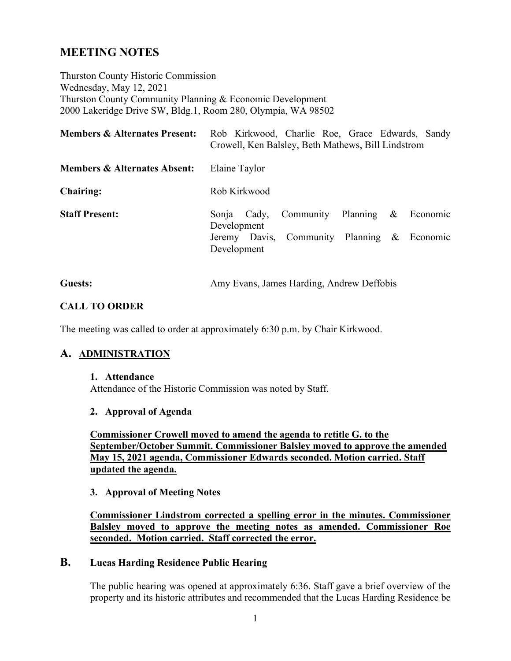# **MEETING NOTES**

Thurston County Historic Commission Wednesday, May 12, 2021 Thurston County Community Planning & Economic Development 2000 Lakeridge Drive SW, Bldg.1, Room 280, Olympia, WA 98502

| <b>Members &amp; Alternates Present:</b> | Rob Kirkwood, Charlie Roe, Grace Edwards, Sandy<br>Crowell, Ken Balsley, Beth Mathews, Bill Lindstrom                        |
|------------------------------------------|------------------------------------------------------------------------------------------------------------------------------|
| <b>Members &amp; Alternates Absent:</b>  | Elaine Taylor                                                                                                                |
| <b>Chairing:</b>                         | Rob Kirkwood                                                                                                                 |
| <b>Staff Present:</b>                    | Community Planning & Economic<br>Sonja<br>Cady,<br>Development<br>Jeremy Davis, Community Planning & Economic<br>Development |

| <b>Guests:</b> | Amy Evans, James Harding, Andrew Deffobis |
|----------------|-------------------------------------------|
|----------------|-------------------------------------------|

#### **CALL TO ORDER**

The meeting was called to order at approximately 6:30 p.m. by Chair Kirkwood.

# **A. ADMINISTRATION**

#### **1. Attendance**

Attendance of the Historic Commission was noted by Staff.

#### **2. Approval of Agenda**

**Commissioner Crowell moved to amend the agenda to retitle G. to the September/October Summit. Commissioner Balsley moved to approve the amended May 15, 2021 agenda, Commissioner Edwards seconded. Motion carried. Staff updated the agenda.**

# **3. Approval of Meeting Notes**

**Commissioner Lindstrom corrected a spelling error in the minutes. Commissioner Balsley moved to approve the meeting notes as amended. Commissioner Roe seconded. Motion carried. Staff corrected the error.**

# **B. Lucas Harding Residence Public Hearing**

The public hearing was opened at approximately 6:36. Staff gave a brief overview of the property and its historic attributes and recommended that the Lucas Harding Residence be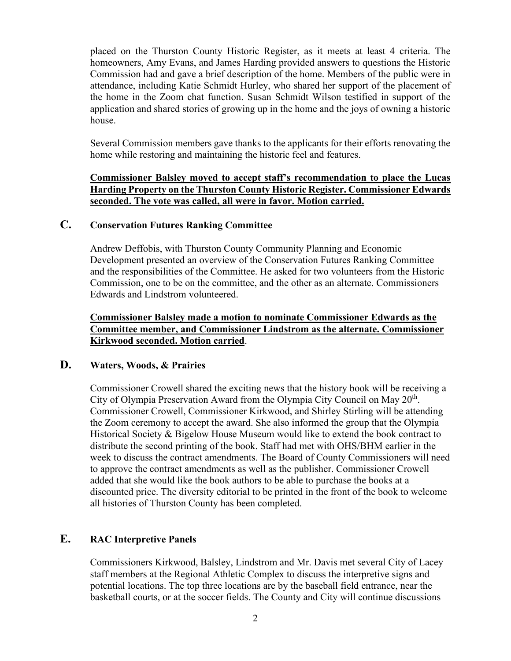placed on the Thurston County Historic Register, as it meets at least 4 criteria. The homeowners, Amy Evans, and James Harding provided answers to questions the Historic Commission had and gave a brief description of the home. Members of the public were in attendance, including Katie Schmidt Hurley, who shared her support of the placement of the home in the Zoom chat function. Susan Schmidt Wilson testified in support of the application and shared stories of growing up in the home and the joys of owning a historic house.

Several Commission members gave thanks to the applicants for their efforts renovating the home while restoring and maintaining the historic feel and features.

#### **Commissioner Balsley moved to accept staff's recommendation to place the Lucas Harding Property on the Thurston County Historic Register. Commissioner Edwards seconded. The vote was called, all were in favor. Motion carried.**

# **C. Conservation Futures Ranking Committee**

Andrew Deffobis, with Thurston County Community Planning and Economic Development presented an overview of the Conservation Futures Ranking Committee and the responsibilities of the Committee. He asked for two volunteers from the Historic Commission, one to be on the committee, and the other as an alternate. Commissioners Edwards and Lindstrom volunteered.

**Commissioner Balsley made a motion to nominate Commissioner Edwards as the Committee member, and Commissioner Lindstrom as the alternate. Commissioner Kirkwood seconded. Motion carried**.

#### **D. Waters, Woods, & Prairies**

Commissioner Crowell shared the exciting news that the history book will be receiving a City of Olympia Preservation Award from the Olympia City Council on May 20<sup>th</sup>. Commissioner Crowell, Commissioner Kirkwood, and Shirley Stirling will be attending the Zoom ceremony to accept the award. She also informed the group that the Olympia Historical Society & Bigelow House Museum would like to extend the book contract to distribute the second printing of the book. Staff had met with OHS/BHM earlier in the week to discuss the contract amendments. The Board of County Commissioners will need to approve the contract amendments as well as the publisher. Commissioner Crowell added that she would like the book authors to be able to purchase the books at a discounted price. The diversity editorial to be printed in the front of the book to welcome all histories of Thurston County has been completed.

# **E. RAC Interpretive Panels**

Commissioners Kirkwood, Balsley, Lindstrom and Mr. Davis met several City of Lacey staff members at the Regional Athletic Complex to discuss the interpretive signs and potential locations. The top three locations are by the baseball field entrance, near the basketball courts, or at the soccer fields. The County and City will continue discussions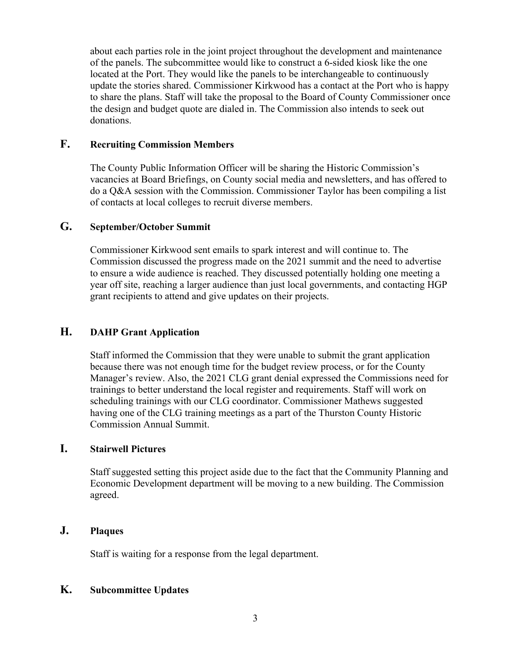about each parties role in the joint project throughout the development and maintenance of the panels. The subcommittee would like to construct a 6-sided kiosk like the one located at the Port. They would like the panels to be interchangeable to continuously update the stories shared. Commissioner Kirkwood has a contact at the Port who is happy to share the plans. Staff will take the proposal to the Board of County Commissioner once the design and budget quote are dialed in. The Commission also intends to seek out donations.

### **F. Recruiting Commission Members**

The County Public Information Officer will be sharing the Historic Commission's vacancies at Board Briefings, on County social media and newsletters, and has offered to do a Q&A session with the Commission. Commissioner Taylor has been compiling a list of contacts at local colleges to recruit diverse members.

# **G. September/October Summit**

Commissioner Kirkwood sent emails to spark interest and will continue to. The Commission discussed the progress made on the 2021 summit and the need to advertise to ensure a wide audience is reached. They discussed potentially holding one meeting a year off site, reaching a larger audience than just local governments, and contacting HGP grant recipients to attend and give updates on their projects.

# **H. DAHP Grant Application**

Staff informed the Commission that they were unable to submit the grant application because there was not enough time for the budget review process, or for the County Manager's review. Also, the 2021 CLG grant denial expressed the Commissions need for trainings to better understand the local register and requirements. Staff will work on scheduling trainings with our CLG coordinator. Commissioner Mathews suggested having one of the CLG training meetings as a part of the Thurston County Historic Commission Annual Summit.

#### **I. Stairwell Pictures**

Staff suggested setting this project aside due to the fact that the Community Planning and Economic Development department will be moving to a new building. The Commission agreed.

# **J. Plaques**

Staff is waiting for a response from the legal department.

#### **K. Subcommittee Updates**